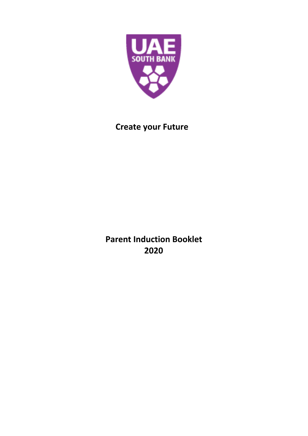

# **Create your Future**

**Parent Induction Booklet 2020**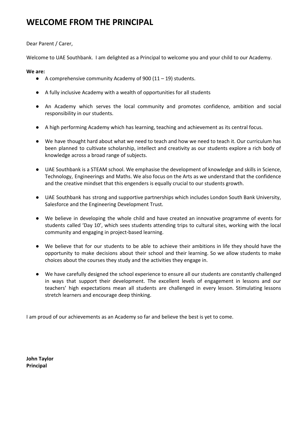## **WELCOME FROM THE PRINCIPAL**

## Dear Parent / Carer,

Welcome to UAE Southbank. I am delighted as a Principal to welcome you and your child to our Academy.

## **We are:**

- $\bullet$  A comprehensive community Academy of 900 (11 19) students.
- A fully inclusive Academy with a wealth of opportunities for all students
- An Academy which serves the local community and promotes confidence, ambition and social responsibility in our students.
- A high performing Academy which has learning, teaching and achievement as its central focus.
- We have thought hard about what we need to teach and how we need to teach it. Our curriculum has been planned to cultivate scholarship, intellect and creativity as our students explore a rich body of knowledge across a broad range of subjects.
- UAE Southbank is a STEAM school. We emphasise the development of knowledge and skills in Science, Technology, Engineerings and Maths. We also focus on the Arts as we understand that the confidence and the creative mindset that this engenders is equally crucial to our students growth.
- UAE Southbank has strong and supportive partnerships which includes London South Bank University, Salesforce and the Engineering Development Trust.
- We believe in developing the whole child and have created an innovative programme of events for students called 'Day 10', which sees students attending trips to cultural sites, working with the local community and engaging in project-based learning.
- We believe that for our students to be able to achieve their ambitions in life they should have the opportunity to make decisions about their school and their learning. So we allow students to make choices about the courses they study and the activities they engage in.
- We have carefully designed the school experience to ensure all our students are constantly challenged in ways that support their development. The excellent levels of engagement in lessons and our teachers' high expectations mean all students are challenged in every lesson. Stimulating lessons stretch learners and encourage deep thinking.

I am proud of our achievements as an Academy so far and believe the best is yet to come.

**John Taylor Principal**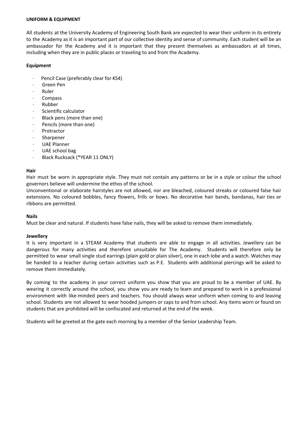#### **UNIFORM & EQUIPMENT**

All students at the University Academy of Engineering South Bank are expected to wear their uniform in its entirety to the Academy as it is an important part of our collective identity and sense of community. Each student will be an ambassador for the Academy and it is important that they present themselves as ambassadors at all times, including when they are in public places or traveling to and from the Academy.

#### **Equipment**

- Pencil Case (preferably clear for KS4)
- Green Pen
- · Ruler
- · Compass
- · Rubber
- Scientific calculator
- Black pens (more than one)
- Pencils (more than one)
- **Protractor**
- **Sharpener**
- UAE Planner
- UAE school bag
- Black Rucksack (\*YEAR 11 ONLY)

#### **Hair**

Hair must be worn in appropriate style. They must not contain any patterns or be in a style or colour the school governors believe will undermine the ethos of the school.

Unconventional or elaborate hairstyles are not allowed, nor are bleached, coloured streaks or coloured false hair extensions. No coloured bobbles, fancy flowers, frills or bows. No decorative hair bands, bandanas, hair ties or ribbons are permitted.

#### **Nails**

Must be clear and natural. If students have false nails, they will be asked to remove them immediately.

#### **Jewellery**

It is very important in a STEAM Academy that students are able to engage in all activities. Jewellery can be dangerous for many activities and therefore unsuitable for The Academy. Students will therefore only be permitted to wear small single stud earrings (plain gold or plain silver), one in each lobe and a watch. Watches may be handed to a teacher during certain activities such as P.E. Students with additional piercings will be asked to remove them immediately.

By coming to the academy in your correct uniform you show that you are proud to be a member of UAE. By wearing it correctly around the school, you show you are ready to learn and prepared to work in a professional environment with like-minded peers and teachers. You should always wear uniform when coming to and leaving school. Students are not allowed to wear hooded jumpers or caps to and from school. Any items worn or found on students that are prohibited will be confiscated and returned at the end of the week.

Students will be greeted at the gate each morning by a member of the Senior Leadership Team.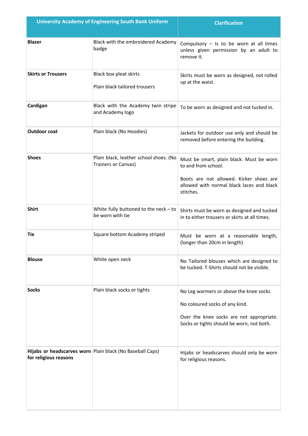| <b>University Academy of Engineering South Bank Uniform</b> |                                                               | <b>Clarification</b>                                                                                                                                                 |
|-------------------------------------------------------------|---------------------------------------------------------------|----------------------------------------------------------------------------------------------------------------------------------------------------------------------|
| <b>Blazer</b>                                               | Black with the embroidered Academy<br>badge                   | Compulsory $-$ Is to be worn at all times<br>unless given permission by an adult to<br>remove it.                                                                    |
| <b>Skirts or Trousers</b>                                   | Black box pleat skirts<br>Plain black tailored trousers       | Skirts must be worn as designed, not rolled<br>up at the waist.                                                                                                      |
| Cardigan                                                    | Black with the Academy twin stripe<br>and Academy logo        | To be worn as designed and not tucked in.                                                                                                                            |
| <b>Outdoor coat</b>                                         | Plain black (No Hoodies)                                      | Jackets for outdoor use only and should be<br>removed before entering the building.                                                                                  |
| <b>Shoes</b>                                                | Plain black, leather school shoes. (No<br>Trainers or Canvas) | Must be smart, plain black. Must be worn<br>to and from school.<br>Boots are not allowed. Kicker shoes are<br>allowed with normal black laces and black<br>stitches. |
| <b>Shirt</b>                                                | White fully buttoned to the neck $-$ to<br>be worn with tie   | Shirts must be worn as designed and tucked<br>in to either trousers or skirts at all times.                                                                          |
| Tie                                                         | Square bottom Academy striped                                 | Must be worn at a reasonable length,<br>(longer than 20cm in length)                                                                                                 |
| <b>Blouse</b>                                               | White open neck                                               | No Tailored blouses which are designed to<br>be tucked. T-Shirts should not be visible.                                                                              |
| <b>Socks</b>                                                | Plain black socks or tights                                   | No Leg warmers or above the knee socks<br>No coloured socks of any kind.<br>Over the knee socks are not appropriate.<br>Socks or tights should be worn, not both.    |
| for religious reasons                                       | Hijabs or headscarves worn Plain black (No Baseball Caps)     | Hijabs or headscarves should only be worn<br>for religious reasons.                                                                                                  |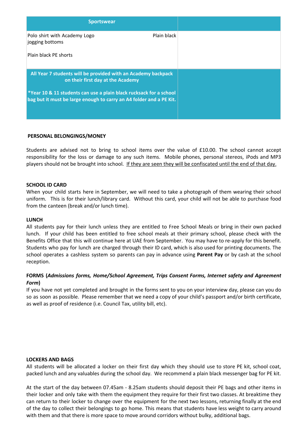| <b>Sportswear</b>                                                                                                                         |  |
|-------------------------------------------------------------------------------------------------------------------------------------------|--|
| Plain black<br>Polo shirt with Academy Logo<br>jogging bottoms                                                                            |  |
| Plain black PE shorts                                                                                                                     |  |
| All Year 7 students will be provided with an Academy backpack<br>on their first day at the Academy                                        |  |
| *Year 10 & 11 students can use a plain black rucksack for a school<br>bag but it must be large enough to carry an A4 folder and a PE Kit. |  |
|                                                                                                                                           |  |

### **PERSONAL BELONGINGS/MONEY**

Students are advised not to bring to school items over the value of £10.00. The school cannot accept responsibility for the loss or damage to any such items. Mobile phones, personal stereos, iPods and MP3 players should not be brought into school. If they are seen they will be confiscated until the end of that day.

#### **SCHOOL ID CARD**

When your child starts here in September, we will need to take a photograph of them wearing their school uniform. This is for their lunch/library card. Without this card, your child will not be able to purchase food from the canteen (break and/or lunch time).

#### **LUNCH**

All students pay for their lunch unless they are entitled to Free School Meals or bring in their own packed lunch. If your child has been entitled to free school meals at their primary school, please check with the Benefits Office that this will continue here at UAE from September. You may have to re-apply for this benefit. Students who pay for lunch are charged through their ID card, which is also used for printing documents. The school operates a cashless system so parents can pay in advance using **Parent Pay** or by cash at the school reception.

## **FORMS (***Admissions forms, Home/School Agreement, Trips Consent Forms, Internet safety and Agreement Form***)**

If you have not yet completed and brought in the forms sent to you on your interview day, please can you do so as soon as possible. Please remember that we need a copy of your child's passport and/or birth certificate, as well as proof of residence (i.e. Council Tax, utility bill, etc).

#### **LOCKERS AND BAGS**

All students will be allocated a locker on their first day which they should use to store PE kit, school coat, packed lunch and any valuables during the school day. We recommend a plain black messenger bag for PE kit.

At the start of the day between 07.45am - 8.25am students should deposit their PE bags and other items in their locker and only take with them the equipment they require for their first two classes. At breaktime they can return to their locker to change over the equipment for the next two lessons, returning finally at the end of the day to collect their belongings to go home. This means that students have less weight to carry around with them and that there is more space to move around corridors without bulky, additional bags.